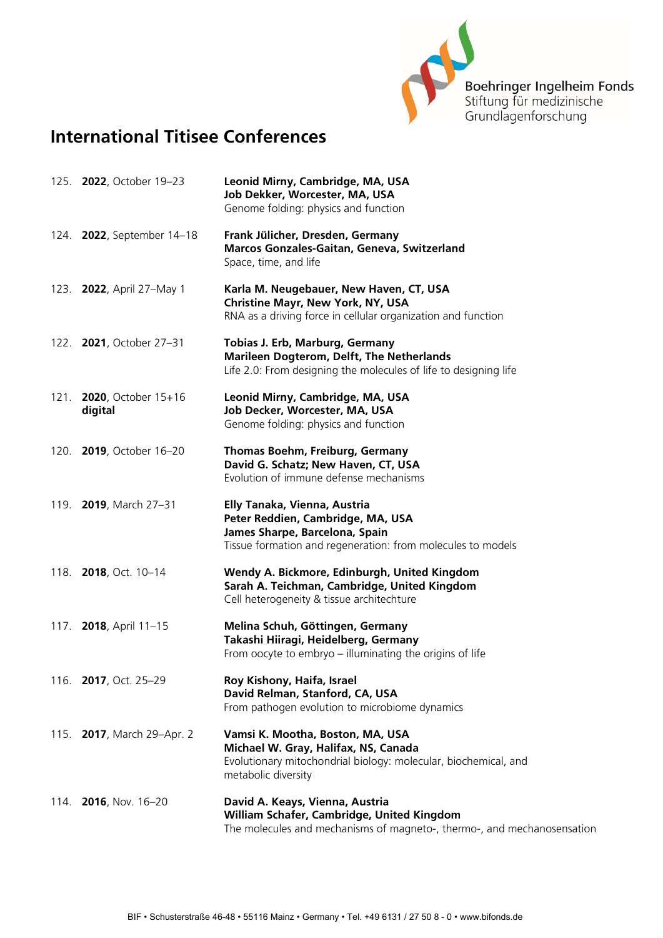

## **International Titisee Conferences**

|      | 125. <b>2022</b> , October 19-23       | Leonid Mirny, Cambridge, MA, USA<br>Job Dekker, Worcester, MA, USA<br>Genome folding: physics and function                                                         |
|------|----------------------------------------|--------------------------------------------------------------------------------------------------------------------------------------------------------------------|
|      | 124. <b>2022</b> , September 14-18     | Frank Jülicher, Dresden, Germany<br>Marcos Gonzales-Gaitan, Geneva, Switzerland<br>Space, time, and life                                                           |
|      | 123. <b>2022</b> , April 27–May 1      | Karla M. Neugebauer, New Haven, CT, USA<br><b>Christine Mayr, New York, NY, USA</b><br>RNA as a driving force in cellular organization and function                |
|      | 122. <b>2021</b> , October 27-31       | Tobias J. Erb, Marburg, Germany<br>Marileen Dogterom, Delft, The Netherlands<br>Life 2.0: From designing the molecules of life to designing life                   |
| 121. | <b>2020</b> , October 15+16<br>digital | Leonid Mirny, Cambridge, MA, USA<br>Job Decker, Worcester, MA, USA<br>Genome folding: physics and function                                                         |
|      | 120. 2019, October 16-20               | Thomas Boehm, Freiburg, Germany<br>David G. Schatz; New Haven, CT, USA<br>Evolution of immune defense mechanisms                                                   |
|      | 119. <b>2019</b> , March 27-31         | Elly Tanaka, Vienna, Austria<br>Peter Reddien, Cambridge, MA, USA<br>James Sharpe, Barcelona, Spain<br>Tissue formation and regeneration: from molecules to models |
|      | 118. <b>2018</b> , Oct. 10-14          | Wendy A. Bickmore, Edinburgh, United Kingdom<br>Sarah A. Teichman, Cambridge, United Kingdom<br>Cell heterogeneity & tissue architechture                          |
|      | 117. 2018, April 11-15                 | Melina Schuh, Göttingen, Germany<br>Takashi Hiiragi, Heidelberg, Germany<br>From oocyte to embryo - illuminating the origins of life                               |
|      | 116. 2017, Oct. 25-29                  | Roy Kishony, Haifa, Israel<br>David Relman, Stanford, CA, USA<br>From pathogen evolution to microbiome dynamics                                                    |
|      | 115. <b>2017</b> , March 29-Apr. 2     | Vamsi K. Mootha, Boston, MA, USA<br>Michael W. Gray, Halifax, NS, Canada<br>Evolutionary mitochondrial biology: molecular, biochemical, and<br>metabolic diversity |
|      | 114. <b>2016</b> , Nov. 16-20          | David A. Keays, Vienna, Austria<br>William Schafer, Cambridge, United Kingdom<br>The molecules and mechanisms of magneto-, thermo-, and mechanosensation           |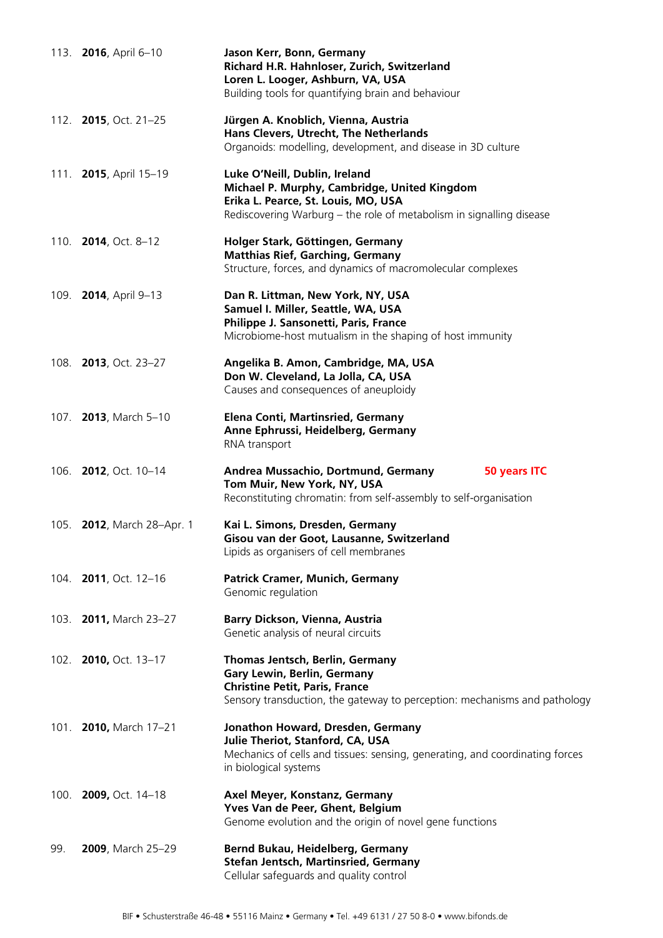|      | 113. 2016, April 6-10              | Jason Kerr, Bonn, Germany<br>Richard H.R. Hahnloser, Zurich, Switzerland<br>Loren L. Looger, Ashburn, VA, USA<br>Building tools for quantifying brain and behaviour                          |
|------|------------------------------------|----------------------------------------------------------------------------------------------------------------------------------------------------------------------------------------------|
|      | 112. <b>2015</b> , Oct. 21-25      | Jürgen A. Knoblich, Vienna, Austria<br>Hans Clevers, Utrecht, The Netherlands<br>Organoids: modelling, development, and disease in 3D culture                                                |
|      | 111. 2015, April 15-19             | Luke O'Neill, Dublin, Ireland<br>Michael P. Murphy, Cambridge, United Kingdom<br>Erika L. Pearce, St. Louis, MO, USA<br>Rediscovering Warburg – the role of metabolism in signalling disease |
|      | 110. <b>2014</b> , Oct. 8-12       | Holger Stark, Göttingen, Germany<br><b>Matthias Rief, Garching, Germany</b><br>Structure, forces, and dynamics of macromolecular complexes                                                   |
|      | 109. 2014, April 9-13              | Dan R. Littman, New York, NY, USA<br>Samuel I. Miller, Seattle, WA, USA<br>Philippe J. Sansonetti, Paris, France<br>Microbiome-host mutualism in the shaping of host immunity                |
|      | 108. <b>2013</b> , Oct. 23-27      | Angelika B. Amon, Cambridge, MA, USA<br>Don W. Cleveland, La Jolla, CA, USA<br>Causes and consequences of aneuploidy                                                                         |
|      | 107. 2013, March 5-10              | <b>Elena Conti, Martinsried, Germany</b><br>Anne Ephrussi, Heidelberg, Germany<br>RNA transport                                                                                              |
|      | 106. <b>2012</b> , Oct. 10-14      | Andrea Mussachio, Dortmund, Germany<br>50 years ITC<br>Tom Muir, New York, NY, USA<br>Reconstituting chromatin: from self-assembly to self-organisation                                      |
|      | 105. <b>2012</b> , March 28-Apr. 1 | Kai L. Simons, Dresden, Germany<br>Gisou van der Goot, Lausanne, Switzerland<br>Lipids as organisers of cell membranes                                                                       |
|      | 104. <b>2011</b> , Oct. 12-16      | Patrick Cramer, Munich, Germany<br>Genomic regulation                                                                                                                                        |
|      | 103. 2011, March 23-27             | Barry Dickson, Vienna, Austria<br>Genetic analysis of neural circuits                                                                                                                        |
|      | 102. <b>2010, Oct. 13-17</b>       | Thomas Jentsch, Berlin, Germany<br>Gary Lewin, Berlin, Germany<br><b>Christine Petit, Paris, France</b><br>Sensory transduction, the gateway to perception: mechanisms and pathology         |
| 101. | 2010, March 17-21                  | Jonathon Howard, Dresden, Germany<br>Julie Theriot, Stanford, CA, USA<br>Mechanics of cells and tissues: sensing, generating, and coordinating forces<br>in biological systems               |
| 100. | 2009, Oct. 14-18                   | Axel Meyer, Konstanz, Germany<br>Yves Van de Peer, Ghent, Belgium<br>Genome evolution and the origin of novel gene functions                                                                 |
| 99.  | 2009, March 25-29                  | Bernd Bukau, Heidelberg, Germany<br>Stefan Jentsch, Martinsried, Germany<br>Cellular safeguards and quality control                                                                          |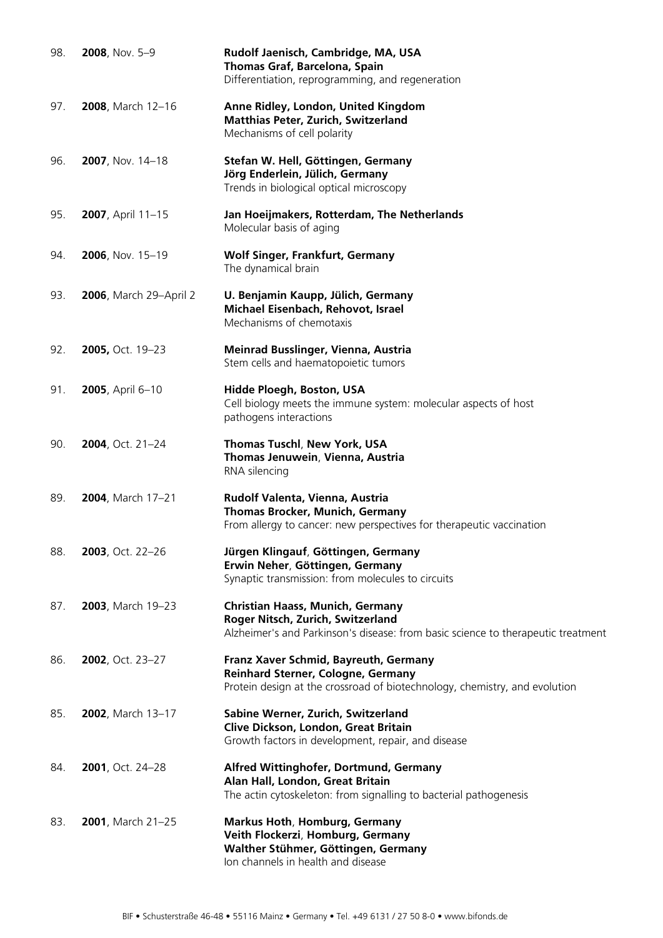| 98. | 2008, Nov. 5-9                 | Rudolf Jaenisch, Cambridge, MA, USA<br>Thomas Graf, Barcelona, Spain<br>Differentiation, reprogramming, and regeneration                                         |
|-----|--------------------------------|------------------------------------------------------------------------------------------------------------------------------------------------------------------|
| 97. | 2008, March 12-16              | Anne Ridley, London, United Kingdom<br><b>Matthias Peter, Zurich, Switzerland</b><br>Mechanisms of cell polarity                                                 |
| 96. | 2007, Nov. 14-18               | Stefan W. Hell, Göttingen, Germany<br>Jörg Enderlein, Jülich, Germany<br>Trends in biological optical microscopy                                                 |
| 95. | 2007, April 11-15              | Jan Hoeijmakers, Rotterdam, The Netherlands<br>Molecular basis of aging                                                                                          |
| 94. | 2006, Nov. 15-19               | <b>Wolf Singer, Frankfurt, Germany</b><br>The dynamical brain                                                                                                    |
| 93. | <b>2006</b> , March 29-April 2 | U. Benjamin Kaupp, Jülich, Germany<br>Michael Eisenbach, Rehovot, Israel<br>Mechanisms of chemotaxis                                                             |
| 92. | 2005, Oct. 19-23               | Meinrad Busslinger, Vienna, Austria<br>Stem cells and haematopoietic tumors                                                                                      |
| 91. | 2005, April 6-10               | Hidde Ploegh, Boston, USA<br>Cell biology meets the immune system: molecular aspects of host<br>pathogens interactions                                           |
| 90. | 2004, Oct. 21-24               | Thomas Tuschl, New York, USA<br>Thomas Jenuwein, Vienna, Austria<br>RNA silencing                                                                                |
| 89. | 2004, March 17-21              | Rudolf Valenta, Vienna, Austria<br>Thomas Brocker, Munich, Germany<br>From allergy to cancer: new perspectives for therapeutic vaccination                       |
| 88. | 2003, Oct. 22-26               | Jürgen Klingauf, Göttingen, Germany<br>Erwin Neher, Göttingen, Germany<br>Synaptic transmission: from molecules to circuits                                      |
| 87. | 2003, March 19-23              | <b>Christian Haass, Munich, Germany</b><br>Roger Nitsch, Zurich, Switzerland<br>Alzheimer's and Parkinson's disease: from basic science to therapeutic treatment |
| 86. | 2002, Oct. 23-27               | Franz Xaver Schmid, Bayreuth, Germany<br>Reinhard Sterner, Cologne, Germany<br>Protein design at the crossroad of biotechnology, chemistry, and evolution        |
| 85. | 2002, March 13-17              | Sabine Werner, Zurich, Switzerland<br>Clive Dickson, London, Great Britain<br>Growth factors in development, repair, and disease                                 |
| 84. | 2001, Oct. 24-28               | Alfred Wittinghofer, Dortmund, Germany<br>Alan Hall, London, Great Britain<br>The actin cytoskeleton: from signalling to bacterial pathogenesis                  |
| 83. | 2001, March 21-25              | Markus Hoth, Homburg, Germany<br>Veith Flockerzi, Homburg, Germany<br>Walther Stühmer, Göttingen, Germany<br>Ion channels in health and disease                  |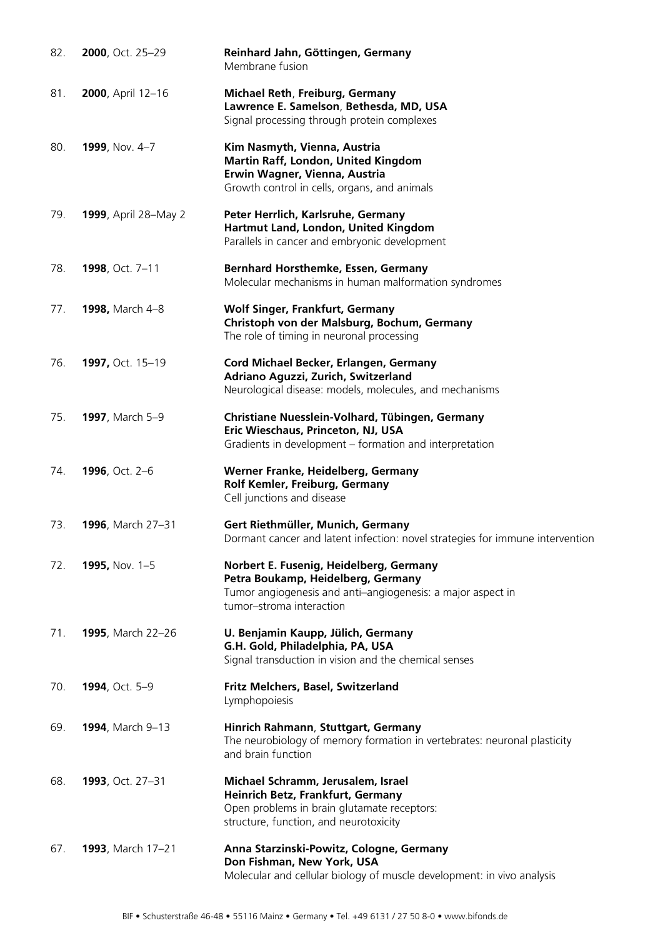| 82. | 2000, Oct. 25-29             | Reinhard Jahn, Göttingen, Germany<br>Membrane fusion                                                                                                                     |
|-----|------------------------------|--------------------------------------------------------------------------------------------------------------------------------------------------------------------------|
| 81. | 2000, April 12-16            | <b>Michael Reth, Freiburg, Germany</b><br>Lawrence E. Samelson, Bethesda, MD, USA<br>Signal processing through protein complexes                                         |
| 80. | 1999, Nov. 4-7               | Kim Nasmyth, Vienna, Austria<br>Martin Raff, London, United Kingdom<br>Erwin Wagner, Vienna, Austria<br>Growth control in cells, organs, and animals                     |
| 79. | <b>1999</b> , April 28–May 2 | Peter Herrlich, Karlsruhe, Germany<br>Hartmut Land, London, United Kingdom<br>Parallels in cancer and embryonic development                                              |
| 78. | 1998, Oct. 7-11              | Bernhard Horsthemke, Essen, Germany<br>Molecular mechanisms in human malformation syndromes                                                                              |
| 77. | 1998, March 4-8              | <b>Wolf Singer, Frankfurt, Germany</b><br>Christoph von der Malsburg, Bochum, Germany<br>The role of timing in neuronal processing                                       |
| 76. | 1997, Oct. 15-19             | Cord Michael Becker, Erlangen, Germany<br>Adriano Aguzzi, Zurich, Switzerland<br>Neurological disease: models, molecules, and mechanisms                                 |
| 75. | 1997, March 5-9              | Christiane Nuesslein-Volhard, Tübingen, Germany<br>Eric Wieschaus, Princeton, NJ, USA<br>Gradients in development – formation and interpretation                         |
| 74. | <b>1996, Oct. 2-6</b>        | Werner Franke, Heidelberg, Germany<br>Rolf Kemler, Freiburg, Germany<br>Cell junctions and disease                                                                       |
| 73. | 1996, March 27-31            | Gert Riethmüller, Munich, Germany<br>Dormant cancer and latent infection: novel strategies for immune intervention                                                       |
| 72. | 1995, Nov. 1-5               | Norbert E. Fusenig, Heidelberg, Germany<br>Petra Boukamp, Heidelberg, Germany<br>Tumor angiogenesis and anti-angiogenesis: a major aspect in<br>tumor-stroma interaction |
| 71. | <b>1995</b> , March 22-26    | U. Benjamin Kaupp, Jülich, Germany<br>G.H. Gold, Philadelphia, PA, USA<br>Signal transduction in vision and the chemical senses                                          |
| 70. | 1994, Oct. 5-9               | Fritz Melchers, Basel, Switzerland<br>Lymphopoiesis                                                                                                                      |
| 69. | <b>1994</b> , March 9-13     | Hinrich Rahmann, Stuttgart, Germany<br>The neurobiology of memory formation in vertebrates: neuronal plasticity<br>and brain function                                    |
| 68. | 1993, Oct. 27-31             | Michael Schramm, Jerusalem, Israel<br>Heinrich Betz, Frankfurt, Germany<br>Open problems in brain glutamate receptors:<br>structure, function, and neurotoxicity         |
| 67. | 1993, March 17-21            | Anna Starzinski-Powitz, Cologne, Germany<br>Don Fishman, New York, USA<br>Molecular and cellular biology of muscle development: in vivo analysis                         |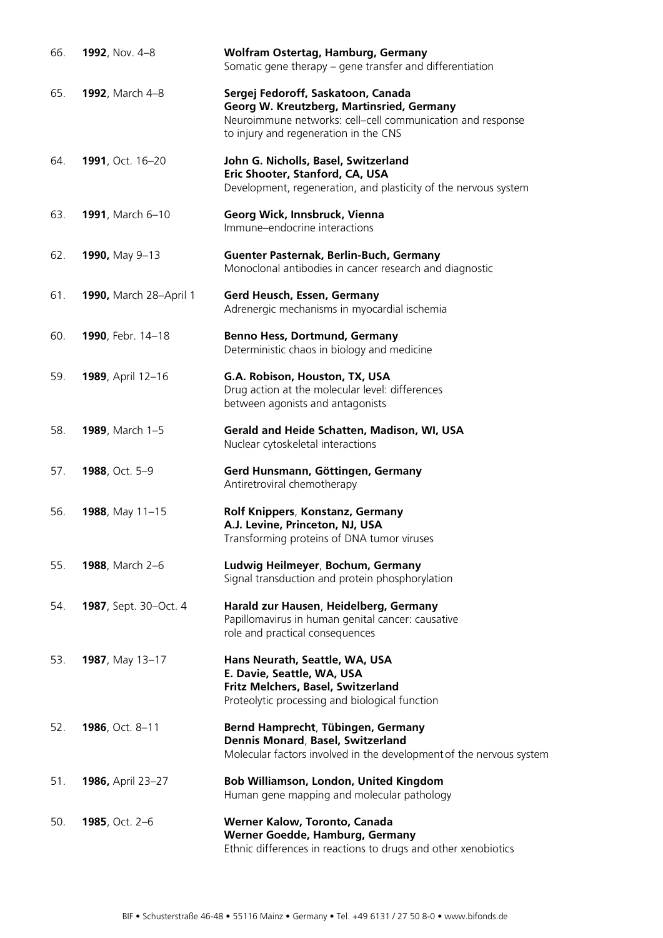| 66. | 1992, Nov. 4-8                | Wolfram Ostertag, Hamburg, Germany<br>Somatic gene therapy – gene transfer and differentiation                                                                                         |
|-----|-------------------------------|----------------------------------------------------------------------------------------------------------------------------------------------------------------------------------------|
| 65. | 1992, March 4-8               | Sergej Fedoroff, Saskatoon, Canada<br>Georg W. Kreutzberg, Martinsried, Germany<br>Neuroimmune networks: cell-cell communication and response<br>to injury and regeneration in the CNS |
| 64. | 1991, Oct. 16-20              | John G. Nicholls, Basel, Switzerland<br>Eric Shooter, Stanford, CA, USA<br>Development, regeneration, and plasticity of the nervous system                                             |
| 63. | 1991, March 6-10              | Georg Wick, Innsbruck, Vienna<br>Immune-endocrine interactions                                                                                                                         |
| 62. | 1990, May 9-13                | Guenter Pasternak, Berlin-Buch, Germany<br>Monoclonal antibodies in cancer research and diagnostic                                                                                     |
| 61. | 1990, March 28-April 1        | Gerd Heusch, Essen, Germany<br>Adrenergic mechanisms in myocardial ischemia                                                                                                            |
| 60. | 1990, Febr. 14-18             | <b>Benno Hess, Dortmund, Germany</b><br>Deterministic chaos in biology and medicine                                                                                                    |
| 59. | 1989, April 12-16             | G.A. Robison, Houston, TX, USA<br>Drug action at the molecular level: differences<br>between agonists and antagonists                                                                  |
| 58. | <b>1989</b> , March 1-5       | Gerald and Heide Schatten, Madison, WI, USA<br>Nuclear cytoskeletal interactions                                                                                                       |
| 57. | 1988, Oct. 5-9                | Gerd Hunsmann, Göttingen, Germany<br>Antiretroviral chemotherapy                                                                                                                       |
| 56. | 1988, May 11-15               | Rolf Knippers, Konstanz, Germany<br>A.J. Levine, Princeton, NJ, USA<br>Transforming proteins of DNA tumor viruses                                                                      |
| 55. | 1988, March 2-6               | Ludwig Heilmeyer, Bochum, Germany<br>Signal transduction and protein phosphorylation                                                                                                   |
| 54. | <b>1987</b> , Sept. 30–Oct. 4 | Harald zur Hausen, Heidelberg, Germany<br>Papillomavirus in human genital cancer: causative<br>role and practical consequences                                                         |
| 53. | 1987, May 13-17               | Hans Neurath, Seattle, WA, USA<br>E. Davie, Seattle, WA, USA<br>Fritz Melchers, Basel, Switzerland<br>Proteolytic processing and biological function                                   |
| 52. | 1986, Oct. 8-11               | Bernd Hamprecht, Tübingen, Germany<br>Dennis Monard, Basel, Switzerland<br>Molecular factors involved in the development of the nervous system                                         |
| 51. | <b>1986, April 23-27</b>      | Bob Williamson, London, United Kingdom<br>Human gene mapping and molecular pathology                                                                                                   |
| 50. | 1985, Oct. 2-6                | Werner Kalow, Toronto, Canada<br>Werner Goedde, Hamburg, Germany<br>Ethnic differences in reactions to drugs and other xenobiotics                                                     |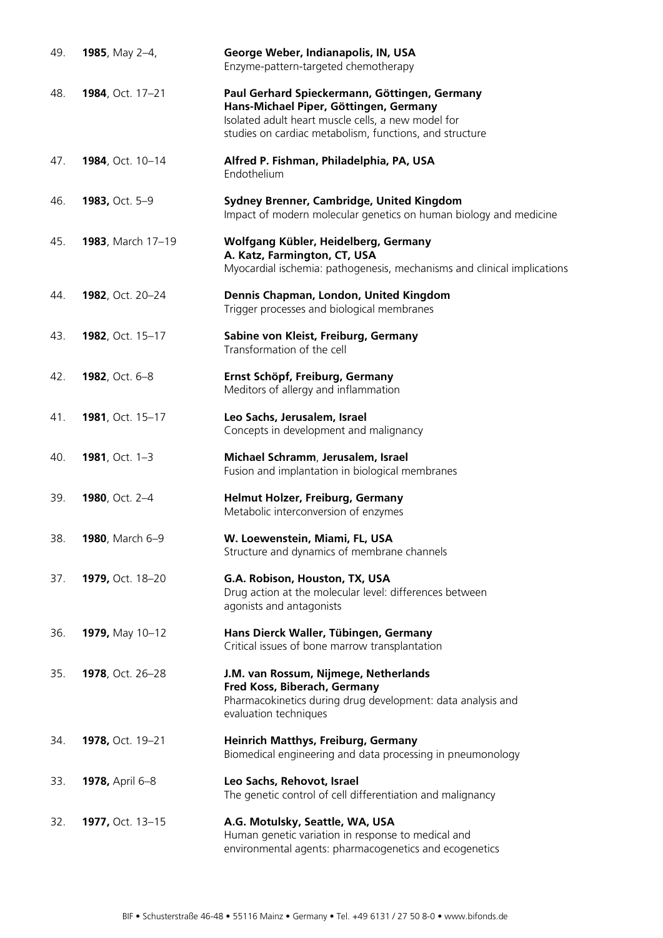| 49. | 1985, May 2-4,         | George Weber, Indianapolis, IN, USA<br>Enzyme-pattern-targeted chemotherapy                                                                                                                              |
|-----|------------------------|----------------------------------------------------------------------------------------------------------------------------------------------------------------------------------------------------------|
| 48. | 1984, Oct. 17-21       | Paul Gerhard Spieckermann, Göttingen, Germany<br>Hans-Michael Piper, Göttingen, Germany<br>Isolated adult heart muscle cells, a new model for<br>studies on cardiac metabolism, functions, and structure |
| 47. | 1984, Oct. 10-14       | Alfred P. Fishman, Philadelphia, PA, USA<br>Endothelium                                                                                                                                                  |
| 46. | 1983, Oct. 5-9         | Sydney Brenner, Cambridge, United Kingdom<br>Impact of modern molecular genetics on human biology and medicine                                                                                           |
| 45. | 1983, March 17-19      | Wolfgang Kübler, Heidelberg, Germany<br>A. Katz, Farmington, CT, USA<br>Myocardial ischemia: pathogenesis, mechanisms and clinical implications                                                          |
| 44. | 1982, Oct. 20-24       | Dennis Chapman, London, United Kingdom<br>Trigger processes and biological membranes                                                                                                                     |
| 43. | 1982, Oct. 15-17       | Sabine von Kleist, Freiburg, Germany<br>Transformation of the cell                                                                                                                                       |
| 42. | 1982, Oct. 6-8         | Ernst Schöpf, Freiburg, Germany<br>Meditors of allergy and inflammation                                                                                                                                  |
| 41. | 1981, Oct. 15-17       | Leo Sachs, Jerusalem, Israel<br>Concepts in development and malignancy                                                                                                                                   |
| 40. | 1981, Oct. 1-3         | Michael Schramm, Jerusalem, Israel<br>Fusion and implantation in biological membranes                                                                                                                    |
| 39. | 1980, Oct. 2-4         | Helmut Holzer, Freiburg, Germany<br>Metabolic interconversion of enzymes                                                                                                                                 |
| 38. | 1980, March 6-9        | W. Loewenstein, Miami, FL, USA<br>Structure and dynamics of membrane channels                                                                                                                            |
| 37. | 1979, Oct. 18-20       | G.A. Robison, Houston, TX, USA<br>Drug action at the molecular level: differences between<br>agonists and antagonists                                                                                    |
| 36. | 1979, May 10-12        | Hans Dierck Waller, Tübingen, Germany<br>Critical issues of bone marrow transplantation                                                                                                                  |
| 35. | 1978, Oct. 26-28       | J.M. van Rossum, Nijmege, Netherlands<br>Fred Koss, Biberach, Germany<br>Pharmacokinetics during drug development: data analysis and<br>evaluation techniques                                            |
| 34. | 1978, Oct. 19-21       | Heinrich Matthys, Freiburg, Germany<br>Biomedical engineering and data processing in pneumonology                                                                                                        |
| 33. | <b>1978, April 6-8</b> | Leo Sachs, Rehovot, Israel<br>The genetic control of cell differentiation and malignancy                                                                                                                 |
| 32. | 1977, Oct. 13-15       | A.G. Motulsky, Seattle, WA, USA<br>Human genetic variation in response to medical and<br>environmental agents: pharmacogenetics and ecogenetics                                                          |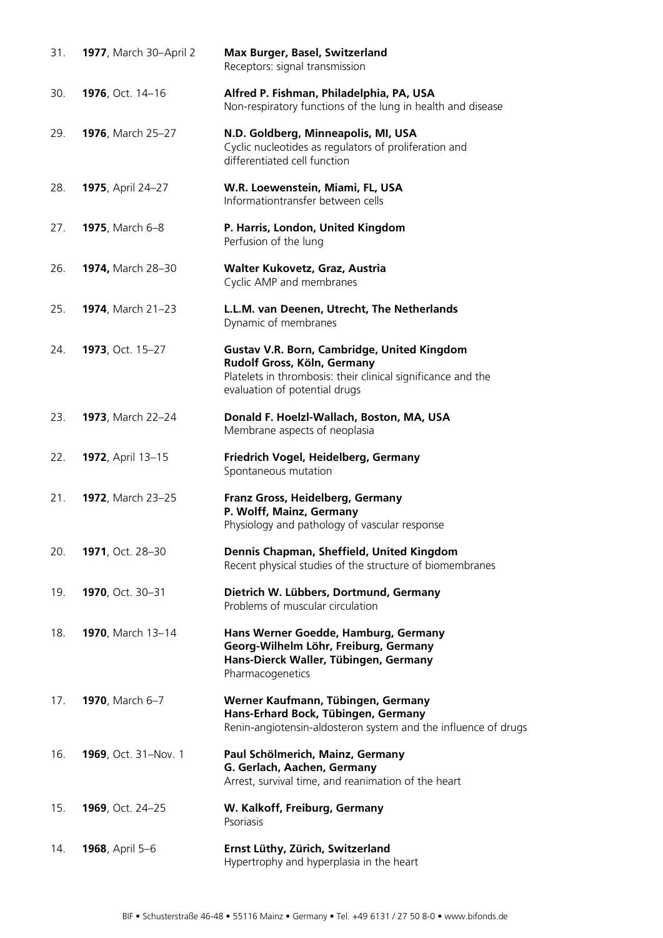| 31. | 1977, March 30-April 2    | Max Burger, Basel, Switzerland<br>Receptors: signal transmission                                                                                                            |
|-----|---------------------------|-----------------------------------------------------------------------------------------------------------------------------------------------------------------------------|
| 30. | 1976, Oct. 14-16          | Alfred P. Fishman, Philadelphia, PA, USA<br>Non-respiratory functions of the lung in health and disease                                                                     |
| 29. | 1976, March 25-27         | N.D. Goldberg, Minneapolis, MI, USA<br>Cyclic nucleotides as regulators of proliferation and<br>differentiated cell function                                                |
| 28. | <b>1975, April 24-27</b>  | W.R. Loewenstein, Miami, FL, USA<br>Informationtransfer between cells                                                                                                       |
| 27. | 1975, March 6-8           | P. Harris, London, United Kingdom<br>Perfusion of the lung                                                                                                                  |
| 26. | 1974, March 28-30         | Walter Kukovetz, Graz, Austria<br>Cyclic AMP and membranes                                                                                                                  |
| 25. | 1974, March 21-23         | L.L.M. van Deenen, Utrecht, The Netherlands<br>Dynamic of membranes                                                                                                         |
| 24. | 1973, Oct. 15-27          | Gustav V.R. Born, Cambridge, United Kingdom<br>Rudolf Gross, Köln, Germany<br>Platelets in thrombosis: their clinical significance and the<br>evaluation of potential drugs |
| 23. | <b>1973</b> , March 22-24 | Donald F. Hoelzl-Wallach, Boston, MA, USA<br>Membrane aspects of neoplasia                                                                                                  |
| 22. | 1972, April 13-15         | Friedrich Vogel, Heidelberg, Germany<br>Spontaneous mutation                                                                                                                |
| 21. | 1972, March 23-25         | Franz Gross, Heidelberg, Germany<br>P. Wolff, Mainz, Germany<br>Physiology and pathology of vascular response                                                               |
| 20. | 1971, Oct. 28-30          | Dennis Chapman, Sheffield, United Kingdom<br>Recent physical studies of the structure of biomembranes                                                                       |
| 19. | 1970, Oct. 30-31          | Dietrich W. Lübbers, Dortmund, Germany<br>Problems of muscular circulation                                                                                                  |
| 18. | 1970, March 13-14         | Hans Werner Goedde, Hamburg, Germany<br>Georg-Wilhelm Löhr, Freiburg, Germany<br>Hans-Dierck Waller, Tübingen, Germany<br>Pharmacogenetics                                  |
| 17. | 1970, March 6-7           | Werner Kaufmann, Tübingen, Germany<br>Hans-Erhard Bock, Tübingen, Germany<br>Renin-angiotensin-aldosteron system and the influence of drugs                                 |
| 16. | 1969, Oct. 31-Nov. 1      | Paul Schölmerich, Mainz, Germany<br>G. Gerlach, Aachen, Germany<br>Arrest, survival time, and reanimation of the heart                                                      |
| 15. | 1969, Oct. 24-25          | W. Kalkoff, Freiburg, Germany<br>Psoriasis                                                                                                                                  |
| 14. | 1968, April 5-6           | Ernst Lüthy, Zürich, Switzerland<br>Hypertrophy and hyperplasia in the heart                                                                                                |